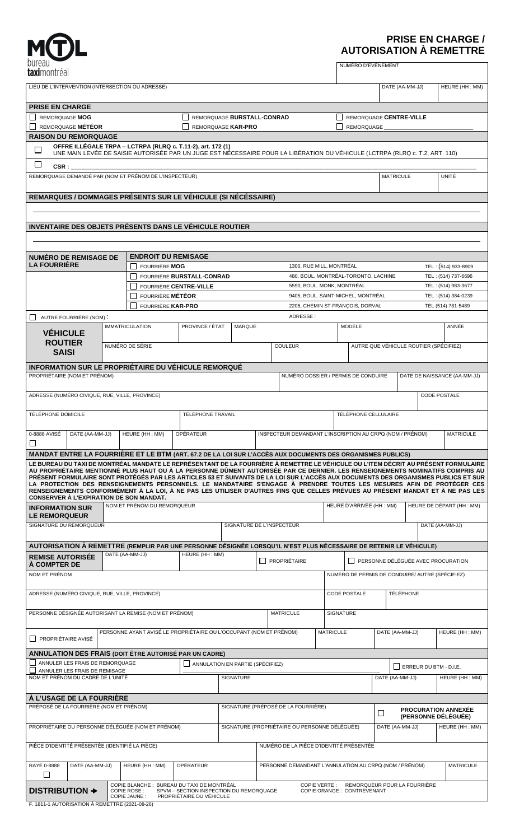| bureau       |
|--------------|
| taximontréal |

# **PRISE EN CHARGE / AUTORISATION À REMETTRE**

| bureau                                                                                                                                                                                                                                                               |                                                                                            |                                                                                                                                                                                             |                                                    |                                                                |                                                           |                            | NUMÉRO D'ÉVÉNEMENT                              |                                 |                                        |                                    |  |
|----------------------------------------------------------------------------------------------------------------------------------------------------------------------------------------------------------------------------------------------------------------------|--------------------------------------------------------------------------------------------|---------------------------------------------------------------------------------------------------------------------------------------------------------------------------------------------|----------------------------------------------------|----------------------------------------------------------------|-----------------------------------------------------------|----------------------------|-------------------------------------------------|---------------------------------|----------------------------------------|------------------------------------|--|
| taximontréal                                                                                                                                                                                                                                                         |                                                                                            |                                                                                                                                                                                             |                                                    |                                                                |                                                           |                            |                                                 |                                 |                                        |                                    |  |
| LIEU DE L'INTERVENTION (INTERSECTION OU ADRESSE)                                                                                                                                                                                                                     |                                                                                            |                                                                                                                                                                                             |                                                    |                                                                |                                                           |                            |                                                 |                                 | DATE (AA-MM-JJ)                        | HEURE (HH: MM)                     |  |
|                                                                                                                                                                                                                                                                      |                                                                                            |                                                                                                                                                                                             |                                                    |                                                                |                                                           |                            |                                                 |                                 |                                        |                                    |  |
| <b>PRISE EN CHARGE</b><br><b>REMORQUAGE MOG</b>                                                                                                                                                                                                                      |                                                                                            |                                                                                                                                                                                             |                                                    |                                                                |                                                           |                            |                                                 |                                 |                                        |                                    |  |
| REMORQUAGE MÉTÉOR                                                                                                                                                                                                                                                    |                                                                                            |                                                                                                                                                                                             |                                                    | REMORQUAGE BURSTALL-CONRAD<br>REMORQUAGE KAR-PRO<br>REMORQUAGE |                                                           |                            |                                                 | REMORQUAGE CENTRE-VILLE         |                                        |                                    |  |
| <b>RAISON DU REMORQUAGE</b>                                                                                                                                                                                                                                          |                                                                                            |                                                                                                                                                                                             |                                                    |                                                                |                                                           |                            |                                                 |                                 |                                        |                                    |  |
| □                                                                                                                                                                                                                                                                    |                                                                                            | OFFRE ILLÉGALE TRPA – LCTRPA (RLRQ c. T.11-2), art. 172 (1)<br>UNE MAIN LEVÉE DE SAISIE AUTORISÉE PAR UN JUGE EST NECESSAIRE POUR LA LIBÉRATION DU VÉHICULE (LCTRPA (RLRQ c. T.2, ART. 110) |                                                    |                                                                |                                                           |                            |                                                 |                                 |                                        |                                    |  |
|                                                                                                                                                                                                                                                                      |                                                                                            |                                                                                                                                                                                             |                                                    |                                                                |                                                           |                            |                                                 |                                 |                                        |                                    |  |
| $\Box$<br>CSR :                                                                                                                                                                                                                                                      |                                                                                            |                                                                                                                                                                                             |                                                    |                                                                |                                                           |                            |                                                 |                                 |                                        |                                    |  |
| REMORQUAGE DEMANDÉ PAR (NOM ET PRÉNOM DE L'INSPECTEUR)                                                                                                                                                                                                               |                                                                                            |                                                                                                                                                                                             |                                                    |                                                                |                                                           |                            |                                                 | <b>MATRICULE</b>                |                                        | UNITÉ                              |  |
| REMARQUES / DOMMAGES PRÉSENTS SUR LE VÉHICULE (SI NÉCÉSSAIRE)                                                                                                                                                                                                        |                                                                                            |                                                                                                                                                                                             |                                                    |                                                                |                                                           |                            |                                                 |                                 |                                        |                                    |  |
|                                                                                                                                                                                                                                                                      |                                                                                            |                                                                                                                                                                                             |                                                    |                                                                |                                                           |                            |                                                 |                                 |                                        |                                    |  |
|                                                                                                                                                                                                                                                                      |                                                                                            |                                                                                                                                                                                             |                                                    |                                                                |                                                           |                            |                                                 |                                 |                                        |                                    |  |
| INVENTAIRE DES OBJETS PRÉSENTS DANS LE VÉHICULE ROUTIER                                                                                                                                                                                                              |                                                                                            |                                                                                                                                                                                             |                                                    |                                                                |                                                           |                            |                                                 |                                 |                                        |                                    |  |
|                                                                                                                                                                                                                                                                      |                                                                                            |                                                                                                                                                                                             |                                                    |                                                                |                                                           |                            |                                                 |                                 |                                        |                                    |  |
|                                                                                                                                                                                                                                                                      |                                                                                            |                                                                                                                                                                                             |                                                    |                                                                |                                                           |                            |                                                 |                                 |                                        |                                    |  |
| <b>NUMÉRO DE REMISAGE DE</b><br><b>LA FOURRIÈRE</b>                                                                                                                                                                                                                  |                                                                                            |                                                                                                                                                                                             | <b>ENDROIT DU REMISAGE</b><br><b>FOURRIÈRE MOG</b> |                                                                |                                                           |                            | 1300, RUE MILL, MONTRÉAL<br>TEL: (514) 933-8909 |                                 |                                        |                                    |  |
|                                                                                                                                                                                                                                                                      |                                                                                            |                                                                                                                                                                                             | FOURRIÈRE BURSTALL-CONRAD                          |                                                                | 480, BOUL. MONTRÉAL-TORONTO, LACHINE                      |                            |                                                 |                                 | TEL: (514) 737-6696                    |                                    |  |
|                                                                                                                                                                                                                                                                      |                                                                                            | FOURRIÈRE CENTRE-VILLE                                                                                                                                                                      |                                                    |                                                                |                                                           | 5590, BOUL. MONK, MONTRÉAL | TEL: (514) 983-3677                             |                                 |                                        |                                    |  |
|                                                                                                                                                                                                                                                                      |                                                                                            | FOURRIÈRE MÉTÉOR                                                                                                                                                                            |                                                    | 9405, BOUL. SAINT-MICHEL, MONTRÉAL                             |                                                           |                            |                                                 |                                 |                                        | TEL: (514) 384-0239                |  |
| FOURRIÈRE KAR-PRO                                                                                                                                                                                                                                                    |                                                                                            |                                                                                                                                                                                             |                                                    | 2205, CHEMIN ST-FRANÇOIS, DORVAL                               |                                                           |                            |                                                 |                                 |                                        | TEL (514) 781-5489                 |  |
| AUTRE FOURRIÈRE (NOM):                                                                                                                                                                                                                                               |                                                                                            | <b>IMMATRICULATION</b>                                                                                                                                                                      | PROVINCE / ÉTAT                                    | <b>MARQUE</b>                                                  | ADRESSE:                                                  |                            | MODÈLE                                          |                                 |                                        | ANNÉE                              |  |
| <b>VÉHICULE</b>                                                                                                                                                                                                                                                      |                                                                                            |                                                                                                                                                                                             |                                                    |                                                                |                                                           |                            |                                                 |                                 |                                        |                                    |  |
| <b>ROUTIER</b>                                                                                                                                                                                                                                                       |                                                                                            | NUMÉRO DE SÉRIE                                                                                                                                                                             |                                                    |                                                                | <b>COULEUR</b>                                            |                            |                                                 |                                 | AUTRE QUE VÉHICULE ROUTIER (SPÉCIFIEZ) |                                    |  |
| <b>SAISI</b>                                                                                                                                                                                                                                                         |                                                                                            |                                                                                                                                                                                             |                                                    |                                                                |                                                           |                            |                                                 |                                 |                                        |                                    |  |
| INFORMATION SUR LE PROPRIÉTAIRE DU VÉHICULE REMORQUÉ                                                                                                                                                                                                                 |                                                                                            |                                                                                                                                                                                             |                                                    |                                                                |                                                           |                            |                                                 |                                 |                                        |                                    |  |
| PROPRIÉTAIRE (NOM ET PRÉNOM)                                                                                                                                                                                                                                         |                                                                                            |                                                                                                                                                                                             |                                                    |                                                                |                                                           |                            | NUMÉRO DOSSIER / PERMIS DE CONDUIRE             |                                 |                                        | DATE DE NAISSANCE (AA-MM-JJ)       |  |
| ADRESSE (NUMÉRO CIVIQUE, RUE, VILLE, PROVINCE)                                                                                                                                                                                                                       |                                                                                            |                                                                                                                                                                                             |                                                    |                                                                |                                                           |                            |                                                 |                                 |                                        | <b>CODE POSTALE</b>                |  |
|                                                                                                                                                                                                                                                                      |                                                                                            |                                                                                                                                                                                             |                                                    |                                                                |                                                           |                            |                                                 |                                 |                                        |                                    |  |
| TÉLÉPHONE DOMICILE                                                                                                                                                                                                                                                   |                                                                                            |                                                                                                                                                                                             | <b>TÉLÉPHONE TRAVAIL</b>                           |                                                                |                                                           |                            | TÉLÉPHONE CELLULAIRE                            |                                 |                                        |                                    |  |
|                                                                                                                                                                                                                                                                      |                                                                                            |                                                                                                                                                                                             |                                                    |                                                                |                                                           |                            |                                                 |                                 |                                        |                                    |  |
| 0-8888 AVISÉ DATE (AA-MM-JJ)<br>$\sqcup$                                                                                                                                                                                                                             |                                                                                            | HEURE (HH: MM)                                                                                                                                                                              | OPÉRATEUR                                          |                                                                | INSPECTEUR DEMANDANT L'INSCRIPTION AU CRPQ (NOM / PRÉNOM) |                            |                                                 |                                 |                                        | <b>MATRICULE</b>                   |  |
| MANDAT ENTRE LA FOURRIÈRE ET LE BTM (ART. 67.2 DE LA LOI SUR L'ACCÈS AUX DOCUMENTS DES ORGANISMES PUBLICS)                                                                                                                                                           |                                                                                            |                                                                                                                                                                                             |                                                    |                                                                |                                                           |                            |                                                 |                                 |                                        |                                    |  |
| LE BUREAU DU TAXI DE MONTRÉAL MANDATE LE REPRÉSENTANT DE LA FOURRIÈRE À REMETTRE LE VÉHICULE OU L'ITEM DÉCRIT AU PRÉSENT FORMULAIRE                                                                                                                                  |                                                                                            |                                                                                                                                                                                             |                                                    |                                                                |                                                           |                            |                                                 |                                 |                                        |                                    |  |
| AU PROPRIÉTAIRE MENTIONNÉ PLUS HAUT OU À LA PERSONNE DÛMENT AUTORISÉE PAR CE DERNIER. LES RENSEIGNEMENTS NOMINATIFS COMPRIS AU<br>PRÉSENT FORMULAIRE SONT PROTÉGÉS PAR LES ARTICLES 53 ET SUIVANTS DE LA LOI SUR L'ACCÈS AUX DOCUMENTS DES ORGANISMES PUBLICS ET SUR |                                                                                            |                                                                                                                                                                                             |                                                    |                                                                |                                                           |                            |                                                 |                                 |                                        |                                    |  |
| LA PROTECTION DES RENSEIGNEMENTS PERSONNELS. LE MANDATAIRE S'ENGAGE À PRENDRE TOUTES LES MESURES AFIN DE PROTÉGER CES<br>RENSEIGNEMENTS CONFORMÉMENT À LA LOI, À NE PAS LES UTILISER D'AUTRES FINS QUE CELLES PRÉVUES AU PRÉSENT MANDAT ET À NE PAS LES              |                                                                                            |                                                                                                                                                                                             |                                                    |                                                                |                                                           |                            |                                                 |                                 |                                        |                                    |  |
| CONSERVER À L'EXPIRATION DE SON MANDAT.                                                                                                                                                                                                                              |                                                                                            |                                                                                                                                                                                             |                                                    |                                                                |                                                           |                            |                                                 |                                 |                                        |                                    |  |
| <b>INFORMATION SUR</b>                                                                                                                                                                                                                                               |                                                                                            | NOM ET PRÉNOM DU REMORQUEUR                                                                                                                                                                 |                                                    |                                                                |                                                           |                            | HEURE D'ARRIVÉE (HH : MM)                       |                                 | HEURE DE DÉPART (HH : MM)              |                                    |  |
| <b>LE REMORQUEUR</b><br>SIGNATURE DU REMORQUEUR                                                                                                                                                                                                                      |                                                                                            |                                                                                                                                                                                             |                                                    |                                                                | SIGNATURE DE L'INSPECTEUR                                 |                            |                                                 |                                 | DATE (AA-MM-JJ)                        |                                    |  |
|                                                                                                                                                                                                                                                                      |                                                                                            |                                                                                                                                                                                             |                                                    |                                                                |                                                           |                            |                                                 |                                 |                                        |                                    |  |
| AUTORISATION À REMETTRE (REMPLIR PAR UNE PERSONNE DÉSIGNÉE LORSQU'IL N'EST PLUS NÉCESSAIRE DE RETENIR LE VÉHICULE)                                                                                                                                                   |                                                                                            |                                                                                                                                                                                             |                                                    |                                                                |                                                           |                            |                                                 |                                 |                                        |                                    |  |
| <b>REMISE AUTORISÉE</b>                                                                                                                                                                                                                                              |                                                                                            | DATE (AA-MM-JJ)                                                                                                                                                                             | HEURE (HH: MM)                                     |                                                                | PROPRIÉTAIRE                                              |                            |                                                 |                                 |                                        | PERSONNE DÉLÉGUÉE AVEC PROCURATION |  |
| <b>A COMPTER DE</b>                                                                                                                                                                                                                                                  |                                                                                            |                                                                                                                                                                                             |                                                    |                                                                |                                                           |                            |                                                 |                                 |                                        |                                    |  |
| NOM ET PRÉNOM                                                                                                                                                                                                                                                        |                                                                                            |                                                                                                                                                                                             |                                                    |                                                                |                                                           |                            | NUMÉRO DE PERMIS DE CONDUIRE/ AUTRE (SPÉCIFIEZ) |                                 |                                        |                                    |  |
| ADRESSE (NUMÉRO CIVIQUE, RUE, VILLE, PROVINCE)                                                                                                                                                                                                                       |                                                                                            |                                                                                                                                                                                             |                                                    |                                                                |                                                           |                            | <b>CODE POSTALE</b>                             |                                 | <b>TÉLÉPHONE</b>                       |                                    |  |
|                                                                                                                                                                                                                                                                      |                                                                                            |                                                                                                                                                                                             |                                                    |                                                                |                                                           |                            |                                                 |                                 |                                        |                                    |  |
| PERSONNE DÉSIGNÉE AUTORISANT LA REMISE (NOM ET PRÉNOM)                                                                                                                                                                                                               |                                                                                            |                                                                                                                                                                                             |                                                    | <b>MATRICULE</b>                                               |                                                           |                            | SIGNATURE                                       |                                 |                                        |                                    |  |
|                                                                                                                                                                                                                                                                      |                                                                                            | PERSONNE AYANT AVISÉ LE PROPRIÉTAIRE OU L'OCCUPANT (NOM ET PRÉNOM)                                                                                                                          |                                                    |                                                                |                                                           | <b>MATRICULE</b>           |                                                 |                                 |                                        | HEURE (HH: MM)                     |  |
| <b>FROPRIÉTAIRE AVISÉ</b>                                                                                                                                                                                                                                            |                                                                                            |                                                                                                                                                                                             |                                                    |                                                                |                                                           |                            |                                                 | DATE (AA-MM-JJ)                 |                                        |                                    |  |
|                                                                                                                                                                                                                                                                      |                                                                                            |                                                                                                                                                                                             |                                                    |                                                                |                                                           |                            |                                                 |                                 |                                        |                                    |  |
| ANNULATION DES FRAIS (DOIT ÊTRE AUTORISÉ PAR UN CADRE)<br>ANNULER LES FRAIS DE REMORQUAGE                                                                                                                                                                            |                                                                                            |                                                                                                                                                                                             |                                                    | $\Box$ ANNULATION EN PARTIE (SPÉCIFIEZ)                        |                                                           |                            |                                                 |                                 | $\Box$ ERREUR DU BTM - D.I.E.          |                                    |  |
| ANNULER LES FRAIS DE REMISAGE<br>NOM ET PRÉNOM DU CADRE DE L'UNITÉ                                                                                                                                                                                                   |                                                                                            |                                                                                                                                                                                             |                                                    | <b>SIGNATURE</b>                                               |                                                           |                            |                                                 | DATE (AA-MM-JJ)                 |                                        | HEURE (HH: MM)                     |  |
|                                                                                                                                                                                                                                                                      |                                                                                            |                                                                                                                                                                                             |                                                    |                                                                |                                                           |                            |                                                 |                                 |                                        |                                    |  |
| À L'USAGE DE LA FOURRIÈRE                                                                                                                                                                                                                                            |                                                                                            |                                                                                                                                                                                             |                                                    |                                                                |                                                           |                            |                                                 |                                 |                                        |                                    |  |
| PRÉPOSÉ DE LA FOURRIÈRE (NOM ET PRÉNOM)                                                                                                                                                                                                                              |                                                                                            |                                                                                                                                                                                             |                                                    | SIGNATURE (PRÉPOSÉ DE LA FOURRIÈRE)                            |                                                           |                            |                                                 | <b>PROCURATION ANNEXÉE</b><br>□ |                                        |                                    |  |
|                                                                                                                                                                                                                                                                      |                                                                                            |                                                                                                                                                                                             |                                                    |                                                                |                                                           |                            |                                                 | (PERSONNE DÉLÉGUÉE)             |                                        |                                    |  |
| PROPRIÉTAIRE OU PERSONNE DÉLÉGUÉE (NOM ET PRÉNOM)                                                                                                                                                                                                                    |                                                                                            |                                                                                                                                                                                             |                                                    | SIGNATURE (PROPRIÉTAIRE OU PERSONNE DÉLÉGUÉE)                  |                                                           |                            |                                                 | DATE (AA-MM-JJ)                 |                                        | HEURE (HH: MM)                     |  |
| PIÈCE D'IDENTITÉ PRÉSENTÉE (IDENTIFIÉ LA PIÈCE)                                                                                                                                                                                                                      |                                                                                            |                                                                                                                                                                                             |                                                    | NUMÉRO DE LA PIÈCE D'IDENTITÉ PRÉSENTÉE                        |                                                           |                            |                                                 |                                 |                                        |                                    |  |
|                                                                                                                                                                                                                                                                      |                                                                                            |                                                                                                                                                                                             |                                                    |                                                                |                                                           |                            |                                                 |                                 |                                        |                                    |  |
| RAYÉ 0-8888<br>DATE (AA-MM-JJ)<br>HEURE (HH: MM)<br>OPÉRATEUR<br>$\Box$                                                                                                                                                                                              |                                                                                            |                                                                                                                                                                                             |                                                    | PERSONNE DEMANDANT L'ANNULATION AU CRPQ (NOM / PRÉNOM)         |                                                           |                            |                                                 |                                 |                                        | <b>MATRICULE</b>                   |  |
| COPIE BLANCHE: BUREAU DU TAXI DE MONTRÉAL<br>REMORQUEUR POUR LA FOURRIÈRE<br><b>COPIE VERTE:</b><br>DISTRIBUTION +<br>SPVM - SECTION INSPECTION DU REMORQUAGE<br><b>COPIE ROSE:</b><br>COPIE ORANGE : CONTREVENANT                                                   |                                                                                            |                                                                                                                                                                                             |                                                    |                                                                |                                                           |                            |                                                 |                                 |                                        |                                    |  |
|                                                                                                                                                                                                                                                                      | COPIE JAUNE:<br>PROPRIÉTAIRE DU VÉHICULE<br>F. 1811-1 AUTORISATION À REMETTRE (2021-08-26) |                                                                                                                                                                                             |                                                    |                                                                |                                                           |                            |                                                 |                                 |                                        |                                    |  |
|                                                                                                                                                                                                                                                                      |                                                                                            |                                                                                                                                                                                             |                                                    |                                                                |                                                           |                            |                                                 |                                 |                                        |                                    |  |